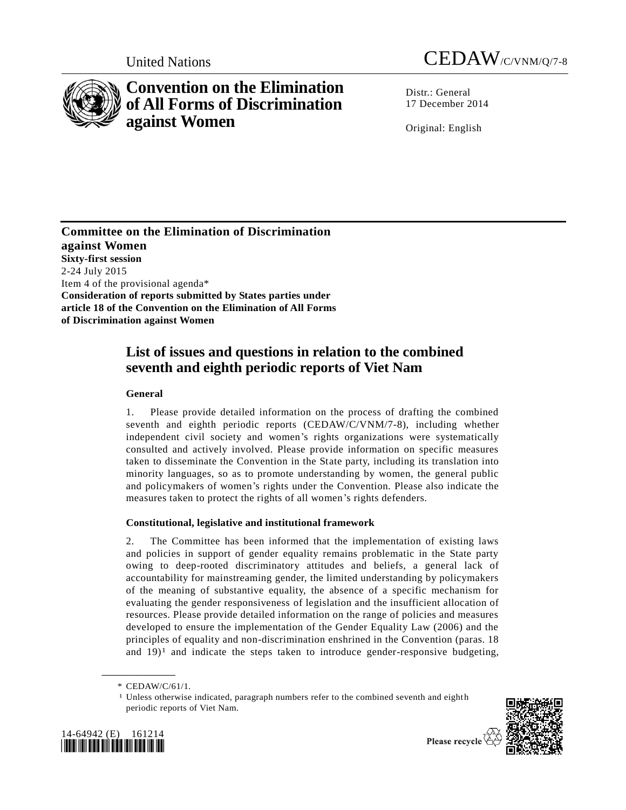

# **Convention on the Elimination of All Forms of Discrimination against Women**

United Nations CEDAW/C/VNM/Q/7-8

Distr.: General 17 December 2014

Original: English

**Committee on the Elimination of Discrimination against Women Sixty-first session** 2-24 July 2015 Item 4 of the provisional agenda\* **Consideration of reports submitted by States parties under article 18 of the Convention on the Elimination of All Forms of Discrimination against Women**

## **List of issues and questions in relation to the combined seventh and eighth periodic reports of Viet Nam**

## **General**

1. Please provide detailed information on the process of drafting the combined seventh and eighth periodic reports (CEDAW/C/VNM/7-8), including whether independent civil society and women's rights organizations were systematically consulted and actively involved. Please provide information on specific measures taken to disseminate the Convention in the State party, including its translation into minority languages, so as to promote understanding by women, the general public and policymakers of women's rights under the Convention. Please also indicate the measures taken to protect the rights of all women's rights defenders.

## **Constitutional, legislative and institutional framework**

2. The Committee has been informed that the implementation of existing laws and policies in support of gender equality remains problematic in the State party owing to deep-rooted discriminatory attitudes and beliefs, a general lack of accountability for mainstreaming gender, the limited understanding by policymakers of the meaning of substantive equality, the absence of a specific mechanism for evaluating the gender responsiveness of legislation and the insufficient allocation of resources. Please provide detailed information on the range of policies and measures developed to ensure the implementation of the Gender Equality Law (2006) and the principles of equality and non-discrimination enshrined in the Convention (paras. 18 and  $19$ <sup>1</sup> and indicate the steps taken to introduce gender-responsive budgeting,

**\_\_\_\_\_\_\_\_\_\_\_\_\_\_\_\_\_\_**

<sup>&</sup>lt;sup>1</sup> Unless otherwise indicated, paragraph numbers refer to the combined seventh and eighth periodic reports of Viet Nam.





Please recycle

<sup>\*</sup> CEDAW/C/61/1.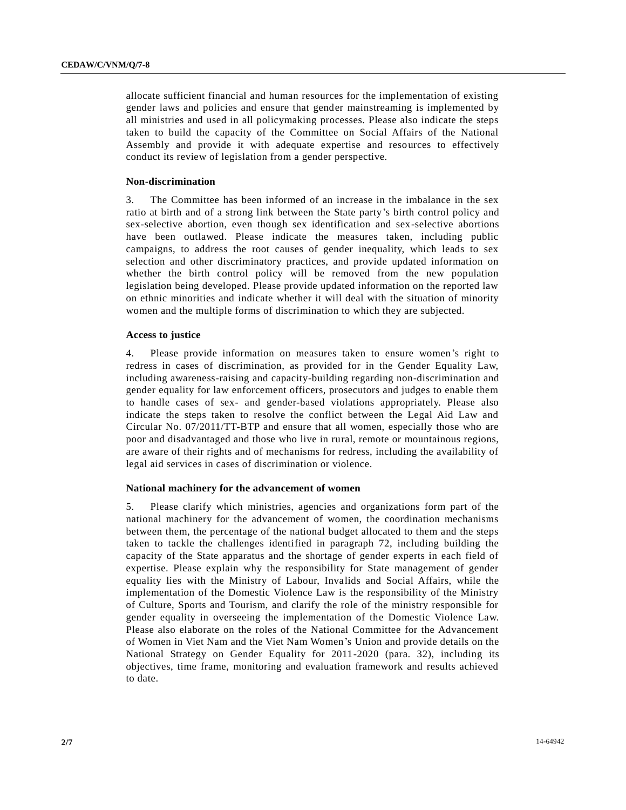allocate sufficient financial and human resources for the implementation of existing gender laws and policies and ensure that gender mainstreaming is implemented by all ministries and used in all policymaking processes. Please also indicate the steps taken to build the capacity of the Committee on Social Affairs of the National Assembly and provide it with adequate expertise and resources to effectively conduct its review of legislation from a gender perspective.

#### **Non-discrimination**

3. The Committee has been informed of an increase in the imbalance in the sex ratio at birth and of a strong link between the State party's birth control policy and sex-selective abortion, even though sex identification and sex-selective abortions have been outlawed. Please indicate the measures taken, including public campaigns, to address the root causes of gender inequality, which leads to sex selection and other discriminatory practices, and provide updated information on whether the birth control policy will be removed from the new population legislation being developed. Please provide updated information on the reported law on ethnic minorities and indicate whether it will deal with the situation of minority women and the multiple forms of discrimination to which they are subjected.

#### **Access to justice**

4. Please provide information on measures taken to ensure women's right to redress in cases of discrimination, as provided for in the Gender Equality Law, including awareness-raising and capacity-building regarding non-discrimination and gender equality for law enforcement officers, prosecutors and judges to enable them to handle cases of sex- and gender-based violations appropriately. Please also indicate the steps taken to resolve the conflict between the Legal Aid Law and Circular No. 07/2011/TT-BTP and ensure that all women, especially those who are poor and disadvantaged and those who live in rural, remote or mountainous regions, are aware of their rights and of mechanisms for redress, including the availability of legal aid services in cases of discrimination or violence.

#### **National machinery for the advancement of women**

5. Please clarify which ministries, agencies and organizations form part of the national machinery for the advancement of women, the coordination mechanisms between them, the percentage of the national budget allocated to them and the steps taken to tackle the challenges identified in paragraph 72, including building the capacity of the State apparatus and the shortage of gender experts in each field of expertise. Please explain why the responsibility for State management of gender equality lies with the Ministry of Labour, Invalids and Social Affairs, while the implementation of the Domestic Violence Law is the responsibility of the Ministry of Culture, Sports and Tourism, and clarify the role of the ministry responsible for gender equality in overseeing the implementation of the Domestic Violence Law. Please also elaborate on the roles of the National Committee for the Advancement of Women in Viet Nam and the Viet Nam Women's Union and provide details on the National Strategy on Gender Equality for 2011-2020 (para. 32), including its objectives, time frame, monitoring and evaluation framework and results achieved to date.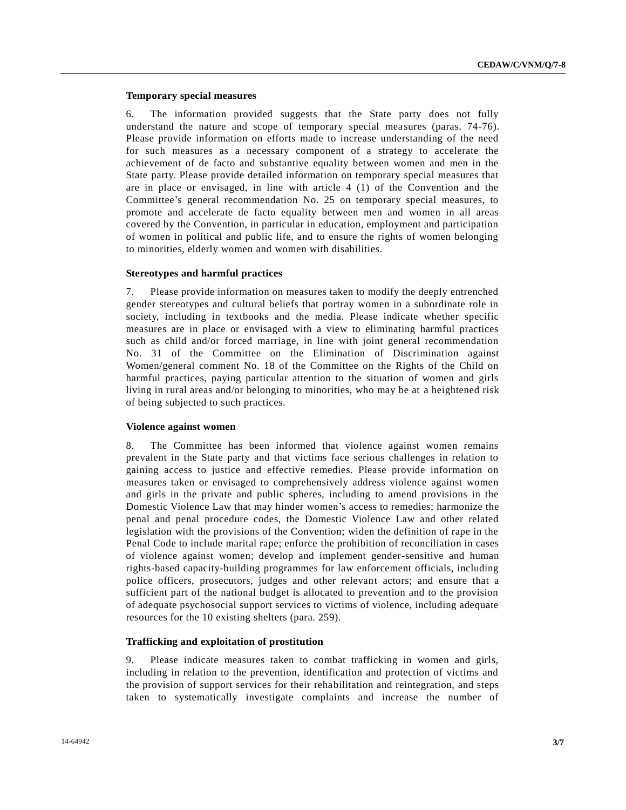#### **Temporary special measures**

6. The information provided suggests that the State party does not fully understand the nature and scope of temporary special measures (paras. 74-76). Please provide information on efforts made to increase understanding of the need for such measures as a necessary component of a strategy to accelerate the achievement of de facto and substantive equality between women and men in the State party. Please provide detailed information on temporary special measures that are in place or envisaged, in line with article 4 (1) of the Convention and the Committee's general recommendation No. 25 on temporary special measures, to promote and accelerate de facto equality between men and women in all areas covered by the Convention, in particular in education, employment and participation of women in political and public life, and to ensure the rights of women belonging to minorities, elderly women and women with disabilities.

#### **Stereotypes and harmful practices**

7. Please provide information on measures taken to modify the deeply entrenched gender stereotypes and cultural beliefs that portray women in a subordinate role in society, including in textbooks and the media. Please indicate whether specific measures are in place or envisaged with a view to eliminating harmful practices such as child and/or forced marriage, in line with joint general recommendation No. 31 of the Committee on the Elimination of Discrimination against Women/general comment No. 18 of the Committee on the Rights of the Child on harmful practices, paying particular attention to the situation of women and girls living in rural areas and/or belonging to minorities, who may be at a heightened risk of being subjected to such practices.

#### **Violence against women**

8. The Committee has been informed that violence against women remains prevalent in the State party and that victims face serious challenges in relation to gaining access to justice and effective remedies. Please provide information on measures taken or envisaged to comprehensively address violence against women and girls in the private and public spheres, including to amend provisions in the Domestic Violence Law that may hinder women's access to remedies; harmonize the penal and penal procedure codes, the Domestic Violence Law and other related legislation with the provisions of the Convention; widen the definition of rape in the Penal Code to include marital rape; enforce the prohibition of reconciliation in cases of violence against women; develop and implement gender-sensitive and human rights-based capacity-building programmes for law enforcement officials, including police officers, prosecutors, judges and other relevant actors; and ensure that a sufficient part of the national budget is allocated to prevention and to the provision of adequate psychosocial support services to victims of violence, including adequate resources for the 10 existing shelters (para. 259).

#### **Trafficking and exploitation of prostitution**

9. Please indicate measures taken to combat trafficking in women and girls, including in relation to the prevention, identification and protection of victims and the provision of support services for their rehabilitation and reintegration, and steps taken to systematically investigate complaints and increase the number of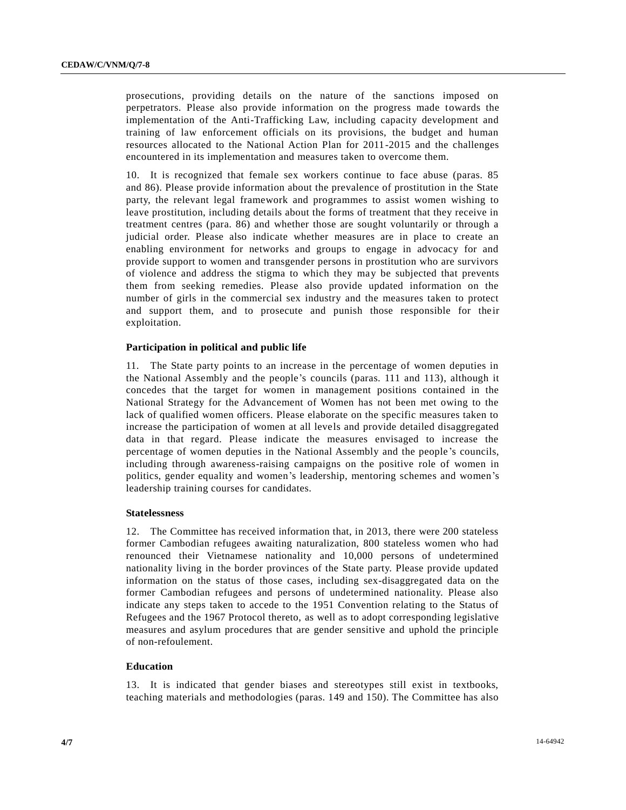prosecutions, providing details on the nature of the sanctions imposed on perpetrators. Please also provide information on the progress made towards the implementation of the Anti-Trafficking Law, including capacity development and training of law enforcement officials on its provisions, the budget and human resources allocated to the National Action Plan for 2011-2015 and the challenges encountered in its implementation and measures taken to overcome them.

10. It is recognized that female sex workers continue to face abuse (paras. 85 and 86). Please provide information about the prevalence of prostitution in the State party, the relevant legal framework and programmes to assist women wishing to leave prostitution, including details about the forms of treatment that they receive in treatment centres (para. 86) and whether those are sought voluntarily or through a judicial order. Please also indicate whether measures are in place to create an enabling environment for networks and groups to engage in advocacy for and provide support to women and transgender persons in prostitution who are survivors of violence and address the stigma to which they may be subjected that prevents them from seeking remedies. Please also provide updated information on the number of girls in the commercial sex industry and the measures taken to protect and support them, and to prosecute and punish those responsible for their exploitation.

#### **Participation in political and public life**

11. The State party points to an increase in the percentage of women deputies in the National Assembly and the people's councils (paras. 111 and 113), although it concedes that the target for women in management positions contained in the National Strategy for the Advancement of Women has not been met owing to the lack of qualified women officers. Please elaborate on the specific measures taken to increase the participation of women at all levels and provide detailed disaggregated data in that regard. Please indicate the measures envisaged to increase the percentage of women deputies in the National Assembly and the people 's councils, including through awareness-raising campaigns on the positive role of women in politics, gender equality and women's leadership, mentoring schemes and women's leadership training courses for candidates.

#### **Statelessness**

12. The Committee has received information that, in 2013, there were 200 stateless former Cambodian refugees awaiting naturalization, 800 stateless women who had renounced their Vietnamese nationality and 10,000 persons of undetermined nationality living in the border provinces of the State party. Please provide updated information on the status of those cases, including sex-disaggregated data on the former Cambodian refugees and persons of undetermined nationality. Please also indicate any steps taken to accede to the 1951 Convention relating to the Status of Refugees and the 1967 Protocol thereto, as well as to adopt corresponding legislative measures and asylum procedures that are gender sensitive and uphold the principle of non-refoulement.

#### **Education**

13. It is indicated that gender biases and stereotypes still exist in textbooks, teaching materials and methodologies (paras. 149 and 150). The Committee has also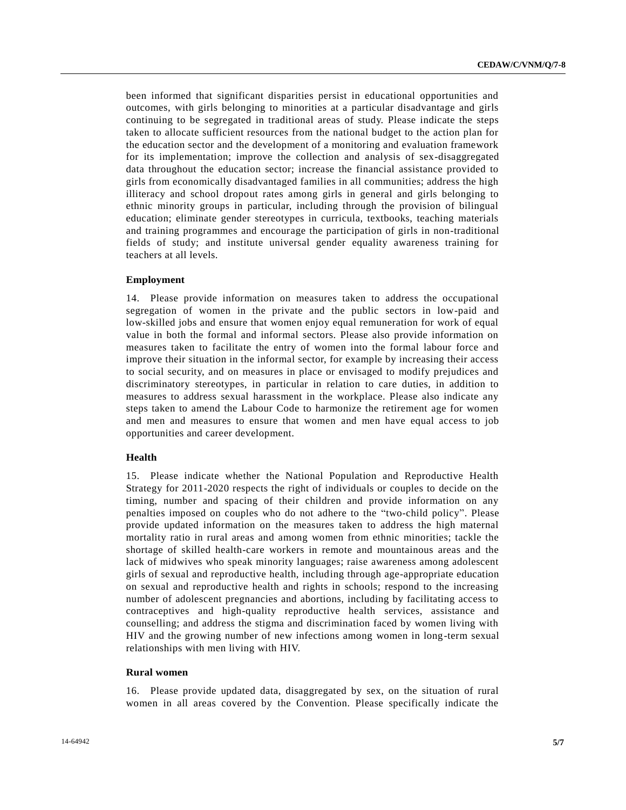been informed that significant disparities persist in educational opportunities and outcomes, with girls belonging to minorities at a particular disadvantage and girls continuing to be segregated in traditional areas of study. Please indicate the steps taken to allocate sufficient resources from the national budget to the action plan for the education sector and the development of a monitoring and evaluation framework for its implementation; improve the collection and analysis of sex-disaggregated data throughout the education sector; increase the financial assistance provided to girls from economically disadvantaged families in all communities; address the high illiteracy and school dropout rates among girls in general and girls belonging to ethnic minority groups in particular, including through the provision of bilingual education; eliminate gender stereotypes in curricula, textbooks, teaching materials and training programmes and encourage the participation of girls in non-traditional fields of study; and institute universal gender equality awareness training for teachers at all levels.

#### **Employment**

14. Please provide information on measures taken to address the occupational segregation of women in the private and the public sectors in low-paid and low-skilled jobs and ensure that women enjoy equal remuneration for work of equal value in both the formal and informal sectors. Please also provide information on measures taken to facilitate the entry of women into the formal labour force and improve their situation in the informal sector, for example by increasing their access to social security, and on measures in place or envisaged to modify prejudices and discriminatory stereotypes, in particular in relation to care duties, in addition to measures to address sexual harassment in the workplace. Please also indicate any steps taken to amend the Labour Code to harmonize the retirement age for women and men and measures to ensure that women and men have equal access to job opportunities and career development.

#### **Health**

15. Please indicate whether the National Population and Reproductive Health Strategy for 2011-2020 respects the right of individuals or couples to decide on the timing, number and spacing of their children and provide information on any penalties imposed on couples who do not adhere to the "two-child policy". Please provide updated information on the measures taken to address the high maternal mortality ratio in rural areas and among women from ethnic minorities; tackle the shortage of skilled health-care workers in remote and mountainous areas and the lack of midwives who speak minority languages; raise awareness among adolescent girls of sexual and reproductive health, including through age-appropriate education on sexual and reproductive health and rights in schools; respond to the increasing number of adolescent pregnancies and abortions, including by facilitating access to contraceptives and high-quality reproductive health services, assistance and counselling; and address the stigma and discrimination faced by women living with HIV and the growing number of new infections among women in long-term sexual relationships with men living with HIV.

#### **Rural women**

16. Please provide updated data, disaggregated by sex, on the situation of rural women in all areas covered by the Convention. Please specifically indicate the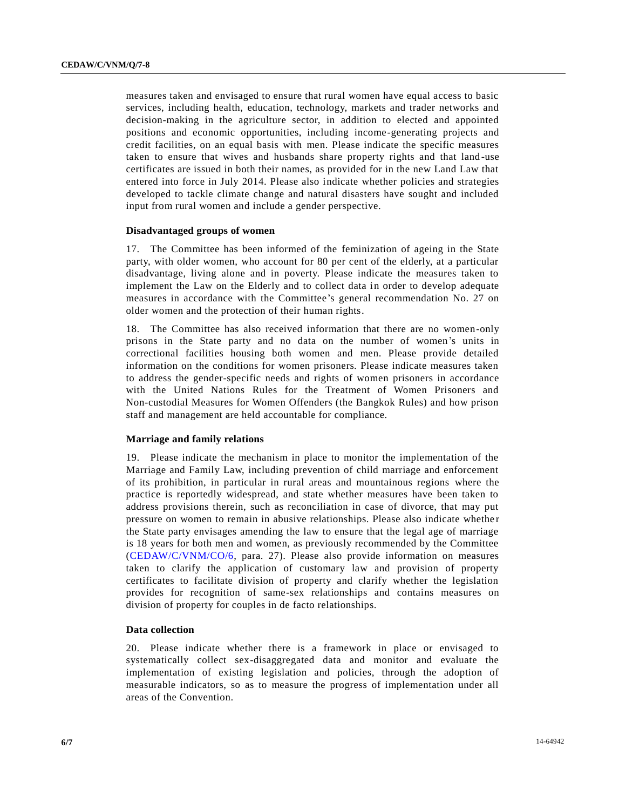measures taken and envisaged to ensure that rural women have equal access to basic services, including health, education, technology, markets and trader networks and decision-making in the agriculture sector, in addition to elected and appointed positions and economic opportunities, including income-generating projects and credit facilities, on an equal basis with men. Please indicate the specific measures taken to ensure that wives and husbands share property rights and that land -use certificates are issued in both their names, as provided for in the new Land Law that entered into force in July 2014. Please also indicate whether policies and strategies developed to tackle climate change and natural disasters have sought and included input from rural women and include a gender perspective.

#### **Disadvantaged groups of women**

17. The Committee has been informed of the feminization of ageing in the State party, with older women, who account for 80 per cent of the elderly, at a particular disadvantage, living alone and in poverty. Please indicate the measures taken to implement the Law on the Elderly and to collect data in order to develop adequate measures in accordance with the Committee's general recommendation No. 27 on older women and the protection of their human rights.

18. The Committee has also received information that there are no women-only prisons in the State party and no data on the number of women's units in correctional facilities housing both women and men. Please provide detailed information on the conditions for women prisoners. Please indicate measures taken to address the gender-specific needs and rights of women prisoners in accordance with the United Nations Rules for the Treatment of Women Prisoners and Non-custodial Measures for Women Offenders (the Bangkok Rules) and how prison staff and management are held accountable for compliance.

#### **Marriage and family relations**

19. Please indicate the mechanism in place to monitor the implementation of the Marriage and Family Law, including prevention of child marriage and enforcement of its prohibition, in particular in rural areas and mountainous regions where the practice is reportedly widespread, and state whether measures have been taken to address provisions therein, such as reconciliation in case of divorce, that may put pressure on women to remain in abusive relationships. Please also indicate whethe r the State party envisages amending the law to ensure that the legal age of marriage is 18 years for both men and women, as previously recommended by the Committee [\(CEDAW/C/VNM/CO/6,](http://undocs.org/CEDAW/C/VNM/CO/6) para. 27). Please also provide information on measures taken to clarify the application of customary law and provision of property certificates to facilitate division of property and clarify whether the legislation provides for recognition of same-sex relationships and contains measures on division of property for couples in de facto relationships.

#### **Data collection**

20. Please indicate whether there is a framework in place or envisaged to systematically collect sex-disaggregated data and monitor and evaluate the implementation of existing legislation and policies, through the adoption of measurable indicators, so as to measure the progress of implementation under all areas of the Convention.